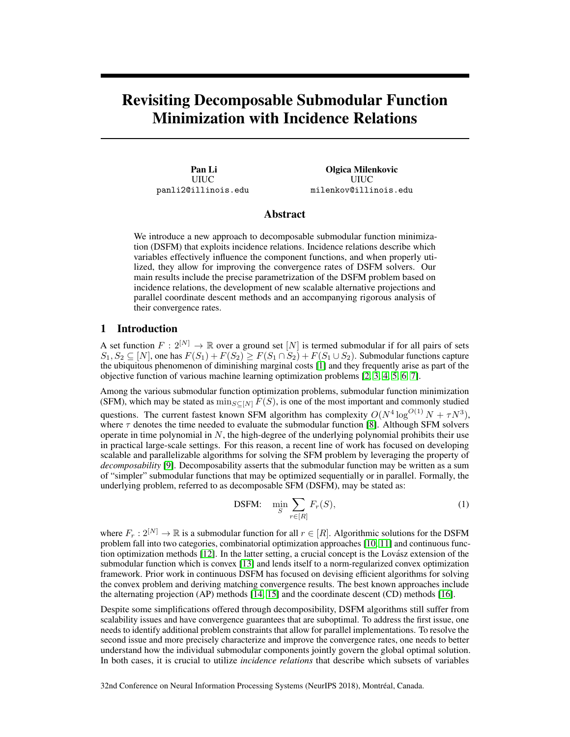# Revisiting Decomposable Submodular Function Minimization with Incidence Relations

Pan Li UIUC panli2@illinois.edu

Olgica Milenkovic UIUC milenkov@illinois.edu

# Abstract

We introduce a new approach to decomposable submodular function minimization (DSFM) that exploits incidence relations. Incidence relations describe which variables effectively influence the component functions, and when properly utilized, they allow for improving the convergence rates of DSFM solvers. Our main results include the precise parametrization of the DSFM problem based on incidence relations, the development of new scalable alternative projections and parallel coordinate descent methods and an accompanying rigorous analysis of their convergence rates.

### 1 Introduction

A set function  $F: 2^{[N]} \to \mathbb{R}$  over a ground set  $[N]$  is termed submodular if for all pairs of sets  $S_1, S_2 \subseteq [N]$ , one has  $F(S_1) + F(S_2) \geq F(S_1 \cap S_2) + F(S_1 \cup S_2)$ . Submodular functions capture the ubiquitous phenomenon of diminishing marginal costs [1] and they frequently arise as part of the objective function of various machine learning optimization problems [2, 3, 4, 5, 6, 7].

Among the various submodular function optimization problems, submodular function minimization (SFM), which may be stated as  $\min_{S \subseteq [N]} F(S)$ , is one of the most important and commonly studied questions. The current fastest known SFM algorithm has complexity  $O(N^4 \log^{O(1)} N + \tau N^3)$ , where  $\tau$  denotes the time needed to evaluate the submodular function [8]. Although SFM solvers operate in time polynomial in  $N$ , the high-degree of the underlying polynomial prohibits their use in practical large-scale settings. For this reason, a recent line of work has focused on developing scalable and parallelizable algorithms for solving the SFM problem by leveraging the property of *decomposability* [9]. Decomposability asserts that the submodular function may be written as a sum of "simpler" submodular functions that may be optimized sequentially or in parallel. Formally, the underlying problem, referred to as decomposable SFM (DSFM), may be stated as:

DSFM: 
$$
\min_{S} \sum_{r \in [R]} F_r(S), \tag{1}
$$

where  $F_r: 2^{[N]} \to \mathbb{R}$  is a submodular function for all  $r \in [R]$ . Algorithmic solutions for the DSFM problem fall into two categories, combinatorial optimization approaches [10, 11] and continuous function optimization methods [12]. In the latter setting, a crucial concept is the Lovász extension of the submodular function which is convex [13] and lends itself to a norm-regularized convex optimization framework. Prior work in continuous DSFM has focused on devising efficient algorithms for solving the convex problem and deriving matching convergence results. The best known approaches include the alternating projection (AP) methods [14, 15] and the coordinate descent (CD) methods [16].

Despite some simplifications offered through decomposibility, DSFM algorithms still suffer from scalability issues and have convergence guarantees that are suboptimal. To address the first issue, one needs to identify additional problem constraints that allow for parallel implementations. To resolve the second issue and more precisely characterize and improve the convergence rates, one needs to better understand how the individual submodular components jointly govern the global optimal solution. In both cases, it is crucial to utilize *incidence relations* that describe which subsets of variables

32nd Conference on Neural Information Processing Systems (NeurIPS 2018), Montréal, Canada.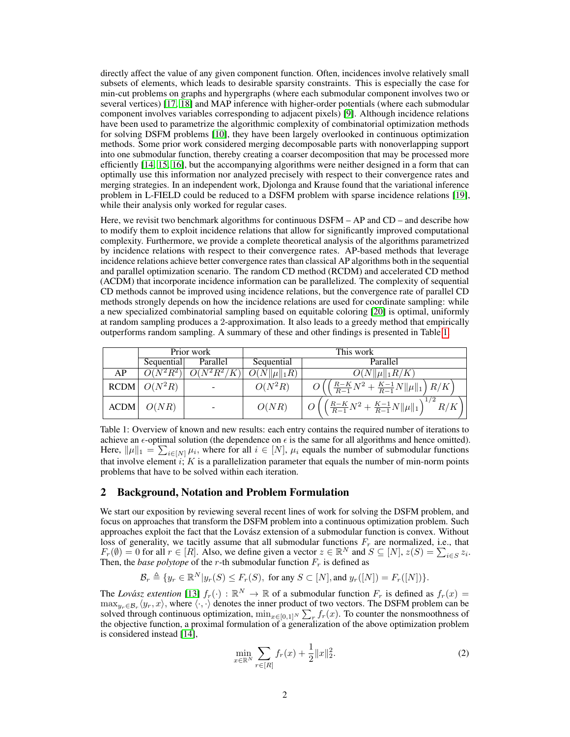directly affect the value of any given component function. Often, incidences involve relatively small subsets of elements, which leads to desirable sparsity constraints. This is especially the case for min-cut problems on graphs and hypergraphs (where each submodular component involves two or several vertices) [17, 18] and MAP inference with higher-order potentials (where each submodular component involves variables corresponding to adjacent pixels) [9]. Although incidence relations have been used to parametrize the algorithmic complexity of combinatorial optimization methods for solving DSFM problems [10], they have been largely overlooked in continuous optimization methods. Some prior work considered merging decomposable parts with nonoverlapping support into one submodular function, thereby creating a coarser decomposition that may be processed more efficiently [14, 15, 16], but the accompanying algorithms were neither designed in a form that can optimally use this information nor analyzed precisely with respect to their convergence rates and merging strategies. In an independent work, Djolonga and Krause found that the variational inference problem in L-FIELD could be reduced to a DSFM problem with sparse incidence relations [19], while their analysis only worked for regular cases.

Here, we revisit two benchmark algorithms for continuous DSFM – AP and CD – and describe how to modify them to exploit incidence relations that allow for significantly improved computational complexity. Furthermore, we provide a complete theoretical analysis of the algorithms parametrized by incidence relations with respect to their convergence rates. AP-based methods that leverage incidence relations achieve better convergence rates than classical AP algorithms both in the sequential and parallel optimization scenario. The random CD method (RCDM) and accelerated CD method (ACDM) that incorporate incidence information can be parallelized. The complexity of sequential CD methods cannot be improved using incidence relations, but the convergence rate of parallel CD methods strongly depends on how the incidence relations are used for coordinate sampling: while a new specialized combinatorial sampling based on equitable coloring [20] is optimal, uniformly at random sampling produces a 2-approximation. It also leads to a greedy method that empirically outperforms random sampling. A summary of these and other findings is presented in Table 1.

|             | Prior work                    |               | This work        |                                                                  |
|-------------|-------------------------------|---------------|------------------|------------------------------------------------------------------|
|             | Sequential                    | Parallel      | Sequential       | Parallel                                                         |
| AP          | $\overline{O(N^2R^2)}$        | $O(N^2R^2/K)$ | $O(N  \mu  _1R)$ | $O(N  \mu  _1R/K)$                                               |
|             | RCDM $\left  O(N^2R) \right $ |               | $O(N^2R)$        | $\frac{R-K}{R-1}N^2 + \frac{K-1}{R-1}N  \mu  _1 R/K$             |
| <b>ACDM</b> | O(NR)                         |               | O(NR)            | $\left( \frac{R-K}{R-1}N^2 + \frac{K-1}{R-1}N \ \mu\ _1 \right)$ |

Table 1: Overview of known and new results: each entry contains the required number of iterations to achieve an  $\epsilon$ -optimal solution (the dependence on  $\epsilon$  is the same for all algorithms and hence omitted). Here,  $\|\mu\|_1 = \sum_{i \in [N]} \mu_i$ , where for all  $i \in [N]$ ,  $\mu_i$  equals the number of submodular functions that involve element i;  $K$  is a parallelization parameter that equals the number of min-norm points problems that have to be solved within each iteration.

## 2 Background, Notation and Problem Formulation

We start our exposition by reviewing several recent lines of work for solving the DSFM problem, and focus on approaches that transform the DSFM problem into a continuous optimization problem. Such approaches exploit the fact that the Lovász extension of a submodular function is convex. Without loss of generality, we tacitly assume that all submodular functions  $F_r$  are normalized, i.e., that  $F_r(\emptyset) = 0$  for all  $r \in [R]$ . Also, we define given a vector  $z \in \mathbb{R}^N$  and  $S \subseteq [N]$ ,  $z(S) = \sum_{i \in S} z_i$ . Then, the *base polytope* of the *r*-th submodular function  $F_r$  is defined as

$$
\mathcal{B}_r \triangleq \{y_r \in \mathbb{R}^N | y_r(S) \leq F_r(S), \text{ for any } S \subset [N], \text{and } y_r([N]) = F_r([N])\}.
$$

The *Lovász extention* [13]  $f_r(\cdot) : \mathbb{R}^N \to \mathbb{R}$  of a submodular function  $F_r$  is defined as  $f_r(x) =$  $\max_{y_r \in \mathcal{B}_r} \langle y_r, x \rangle$ , where  $\langle \cdot, \cdot \rangle$  denotes the inner product of two vectors. The DSFM problem can be solved through continuous optimization,  $\min_{x \in [0,1]^N} \sum_r f_r(x)$ . To counter the nonsmoothness of the objective function, a proximal formulation of a generalization of the above optimization problem is considered instead [14],

$$
\min_{x \in \mathbb{R}^N} \sum_{r \in [R]} f_r(x) + \frac{1}{2} ||x||_2^2.
$$
 (2)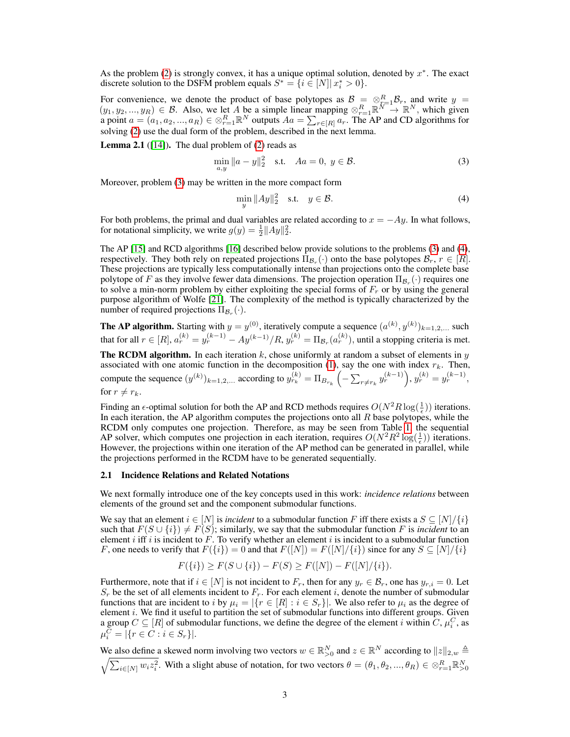As the problem  $(2)$  is strongly convex, it has a unique optimal solution, denoted by  $x^*$ . The exact discrete solution to the DSFM problem equals  $S^* = \{i \in [N] | x_i^* > 0\}.$ 

For convenience, we denote the product of base polytopes as  $\mathcal{B} = \otimes_{r=1}^R \mathcal{B}_r$ , and write  $y =$  $(y_1, y_2, ..., y_R) \in \mathcal{B}$ . Also, we let A be a simple linear mapping  $\otimes_{r=1}^R \mathbb{R}^N \to \mathbb{R}^N$ , which given a point  $a = (a_1, a_2, ..., a_R) \in \otimes_{r=1}^R \mathbb{R}^N$  outputs  $Aa = \sum_{r \in [R]} a_r$ . The AP and CD algorithms for solving (2) use the dual form of the problem, described in the next lemma.

**Lemma 2.1** ([14]). The dual problem of (2) reads as

$$
\min_{a,y} \|a - y\|_2^2 \quad \text{s.t.} \quad Aa = 0, \ y \in \mathcal{B}.
$$
 (3)

Moreover, problem (3) may be written in the more compact form

$$
\min_{y} \|Ay\|_2^2 \quad \text{s.t.} \quad y \in \mathcal{B}.\tag{4}
$$

For both problems, the primal and dual variables are related according to  $x = -Ay$ . In what follows, for notational simplicity, we write  $g(y) = \frac{1}{2} ||Ay||_2^2$ .

The AP [15] and RCD algorithms [16] described below provide solutions to the problems (3) and (4), respectively. They both rely on repeated projections  $\Pi_{\mathcal{B}_r}(\cdot)$  onto the base polytopes  $\mathcal{B}_r$ ,  $r \in [R]$ . These projections are typically less computationally intense than projections onto the complete base polytope of F as they involve fewer data dimensions. The projection operation  $\Pi_{\mathcal{B}_r}(\cdot)$  requires one to solve a min-norm problem by either exploiting the special forms of  $F_r$  or by using the general purpose algorithm of Wolfe [21]. The complexity of the method is typically characterized by the number of required projections  $\Pi_{\mathcal{B}_r}(\cdot)$ .

**The AP algorithm.** Starting with  $y = y^{(0)}$ , iteratively compute a sequence  $(a^{(k)}, y^{(k)})_{k=1,2,...}$  such that for all  $r \in [R]$ ,  $a_r^{(k)} = y_r^{(k-1)} - Ay^{(k-1)}/R$ ,  $y_r^{(k)} = \Pi_{\mathcal{B}_r}(a_r^{(k)})$ , until a stopping criteria is met.

**The RCDM algorithm.** In each iteration  $k$ , chose uniformly at random a subset of elements in  $y$ associated with one atomic function in the decomposition (1), say the one with index  $r_k$ . Then, compute the sequence  $(y^{(k)})_{k=1,2,...}$  according to  $y_{r_k}^{(k)} = \Pi_{B_{r_k}} \left( - \sum_{r \neq r_k} y_r^{(k-1)} \right), y_r^{(k)} = y_r^{(k-1)},$ for  $r \neq r_k$ .

Finding an  $\epsilon$ -optimal solution for both the AP and RCD methods requires  $O(N^2R\log(\frac{1}{\epsilon}))$  iterations. In each iteration, the AP algorithm computes the projections onto all  $R$  base polytopes, while the RCDM only computes one projection. Therefore, as may be seen from Table 1, the sequential AP solver, which computes one projection in each iteration, requires  $O(N^2R^2 \log(\frac{1}{\epsilon}))$  iterations. However, the projections within one iteration of the AP method can be generated in parallel, while the projections performed in the RCDM have to be generated sequentially.

#### 2.1 Incidence Relations and Related Notations

We next formally introduce one of the key concepts used in this work: *incidence relations* between elements of the ground set and the component submodular functions.

We say that an element  $i \in [N]$  is *incident* to a submodular function F iff there exists a  $S \subseteq [N]/\{i\}$ such that  $F(S \cup \{i\}) \neq F(S)$ ; similarly, we say that the submodular function F is *incident* to an element i iff i is incident to  $\vec{F}$ . To verify whether an element i is incident to a submodular function F, one needs to verify that  $F({i}) = 0$  and that  $F([N]) = F([N]/\{i\})$  since for any  $S \subseteq [N]/\{i\}$ 

$$
F({i}) \ge F(S \cup {i}) - F(S) \ge F([N]) - F([N]/{i}).
$$

Furthermore, note that if  $i \in [N]$  is not incident to  $F_r$ , then for any  $y_r \in \mathcal{B}_r$ , one has  $y_{r,i} = 0$ . Let  $S_r$  be the set of all elements incident to  $F_r$ . For each element i, denote the number of submodular functions that are incident to i by  $\mu_i = |\{r \in [R] : i \in S_r\}|$ . We also refer to  $\mu_i$  as the degree of element i. We find it useful to partition the set of submodular functions into different groups. Given a group  $C \subseteq [R]$  of submodular functions, we define the degree of the element i within  $C, \mu_i^C$ , as  $\mu_i^C = |\{r \in C : i \in S_r\}|.$ 

We also define a skewed norm involving two vectors  $w \in \mathbb{R}_{>0}^N$  and  $z \in \mathbb{R}^N$  according to  $||z||_{2,w} \triangleq$  $\sqrt{\sum_{i\in[N]}w_iz_i^2}$ . With a slight abuse of notation, for two vectors  $\theta=(\theta_1,\theta_2,...,\theta_R)\in\otimes_{r=1}^R \mathbb{R}_{>0}^N$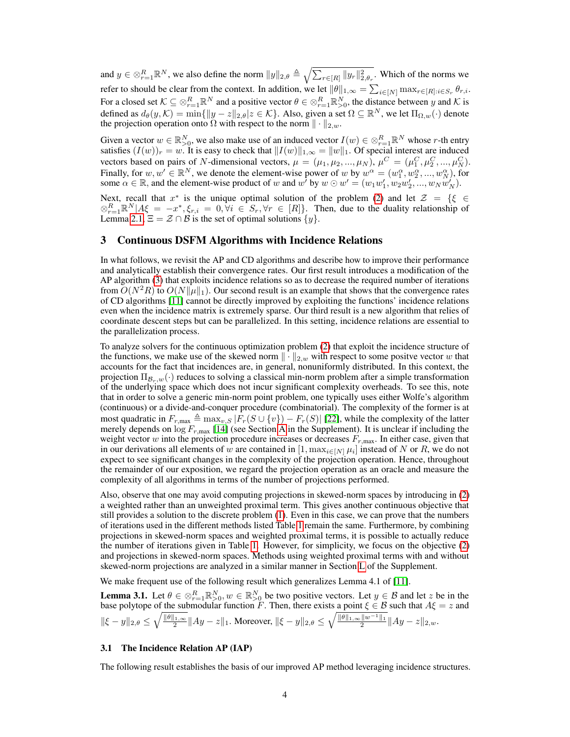and  $y \in \otimes_{r=1}^R \mathbb{R}^N$ , we also define the norm  $||y||_{2,\theta} \triangleq \sqrt{\sum_{r \in [R]} ||y_r||_{2,\theta_r}^2}$ . Which of the norms we refer to should be clear from the context. In addition, we let  $\|\theta\|_{1,\infty} = \sum_{i\in[N]} \max_{r\in[R]:i\in S_r} \theta_{r,i}.$ For a closed set  $K \subseteq \otimes_{r=1}^R \mathbb{R}^N$  and a positive vector  $\theta \in \otimes_{r=1}^R \mathbb{R}^N_{>0}$ , the distance between y and K is defined as  $d_{\theta}(y, \mathcal{K}) = \min\{\|y - z\|_{2, \theta} | z \in \mathcal{K}\}\)$ . Also, given a set  $\Omega \subseteq \mathbb{R}^N$ , we let  $\Pi_{\Omega, w}(\cdot)$  denote the projection operation onto  $\Omega$  with respect to the norm  $\|\cdot\|_{2,w}$ .

Given a vector  $w \in \mathbb{R}_{>0}^N$ , we also make use of an induced vector  $I(w) \in \otimes_{r=1}^R \mathbb{R}^N$  whose r-th entry satisfies  $(I(w))_r = w$ . It is easy to check that  $\|I(w)\|_{1,\infty} = \|w\|_1$ . Of special interest are induced vectors based on pairs of N-dimensional vectors,  $\mu = (\mu_1, \mu_2, ..., \mu_N)$ ,  $\mu^C = (\mu_1^C, \mu_2^C, ..., \mu_N^C)$ . Finally, for  $w, w' \in \mathbb{R}^N$ , we denote the element-wise power of w by  $w^{\alpha} = (w_1^{\alpha}, w_2^{\alpha}, ..., w_N^{\alpha})$ , for some  $\alpha \in \mathbb{R}$ , and the element-wise product of w and  $w'$  by  $w \odot w' = (w_1 w'_1, w_2 w'_2, ..., w_N w'_N)$ .

Next, recall that  $x^*$  is the unique optimal solution of the problem (2) and let  $\mathcal{Z} = \{ \xi \in \mathcal{Z} \}$  $\otimes_{r=1}^R \mathbb{R}^N |A\xi = -x^*, \xi_{r,i} = 0, \forall i \in S_r, \forall r \in [R]$ . Then, due to the duality relationship of Lemma 2.1,  $\Xi = \mathcal{Z} \cap \mathcal{B}$  is the set of optimal solutions  $\{y\}.$ 

## 3 Continuous DSFM Algorithms with Incidence Relations

In what follows, we revisit the AP and CD algorithms and describe how to improve their performance and analytically establish their convergence rates. Our first result introduces a modification of the AP algorithm (3) that exploits incidence relations so as to decrease the required number of iterations from  $O(N^2R)$  to  $O(N||\mu||_1)$ . Our second result is an example that shows that the convergence rates of CD algorithms [11] cannot be directly improved by exploiting the functions' incidence relations even when the incidence matrix is extremely sparse. Our third result is a new algorithm that relies of coordinate descent steps but can be parallelized. In this setting, incidence relations are essential to the parallelization process.

To analyze solvers for the continuous optimization problem (2) that exploit the incidence structure of the functions, we make use of the skewed norm  $\|\cdot\|_{2,w}$  with respect to some positve vector w that accounts for the fact that incidences are, in general, nonuniformly distributed. In this context, the projection  $\Pi_{\mathcal{B}_r,w}(\cdot)$  reduces to solving a classical min-norm problem after a simple transformation of the underlying space which does not incur significant complexity overheads. To see this, note that in order to solve a generic min-norm point problem, one typically uses either Wolfe's algorithm (continuous) or a divide-and-conquer procedure (combinatorial). The complexity of the former is at most quadratic in  $F_{r,\text{max}} \triangleq \max_{v,S} |F_r(S \cup \{v\}) - F_r(S)|$  [22], while the complexity of the latter merely depends on  $\log F_{r,\text{max}}$  [14] (see Section A in the Supplement). It is unclear if including the weight vector w into the projection procedure increases or decreases  $F_{r,\text{max}}$ . In either case, given that in our derivations all elements of w are contained in  $[1, \max_{i \in [N]} \mu_i]$  instead of N or R, we do not expect to see significant changes in the complexity of the projection operation. Hence, throughout the remainder of our exposition, we regard the projection operation as an oracle and measure the complexity of all algorithms in terms of the number of projections performed.

Also, observe that one may avoid computing projections in skewed-norm spaces by introducing in (2) a weighted rather than an unweighted proximal term. This gives another continuous objective that still provides a solution to the discrete problem (1). Even in this case, we can prove that the numbers of iterations used in the different methods listed Table 1 remain the same. Furthermore, by combining projections in skewed-norm spaces and weighted proximal terms, it is possible to actually reduce the number of iterations given in Table 1. However, for simplicity, we focus on the objective (2) and projections in skewed-norm spaces. Methods using weighted proximal terms with and without skewed-norm projections are analyzed in a similar manner in Section L of the Supplement.

We make frequent use of the following result which generalizes Lemma 4.1 of [11].

**Lemma 3.1.** Let  $\theta \in \otimes_{r=1}^R \mathbb{R}_{>0}^N$ ,  $w \in \mathbb{R}_{>0}^N$  be two positive vectors. Let  $y \in \mathcal{B}$  and let z be in the base polytope of the submodular function F. Then, there exists a point  $\xi \in \mathcal{B}$  such that  $A\xi = z$  and  $\|\xi - y\|_{2,\theta} \le \sqrt{\frac{\|\theta\|_{1,\infty}}{2}} \|Ay - z\|_1$ . Moreover,  $\|\xi - y\|_{2,\theta} \le \sqrt{\frac{\|\theta\|_{1,\infty} \|w^{-1}\|_1}{2}} \|Ay - z\|_{2,w}$ .

#### 3.1 The Incidence Relation AP (IAP)

The following result establishes the basis of our improved AP method leveraging incidence structures.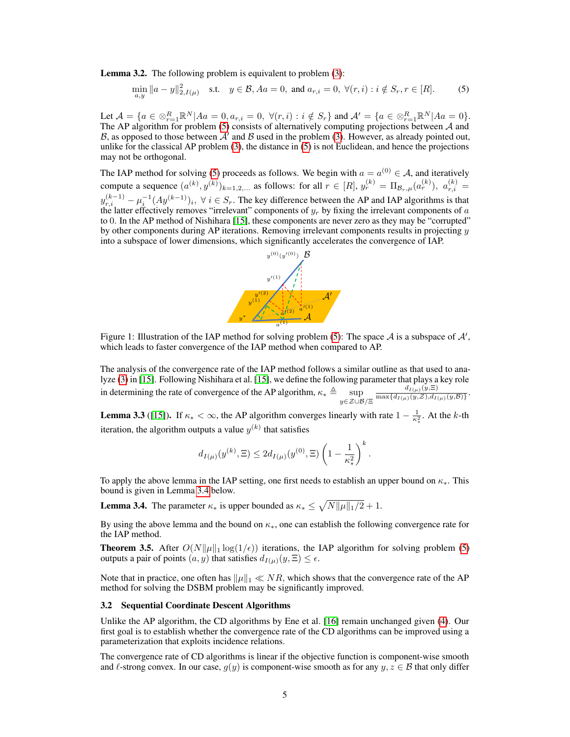Lemma 3.2. The following problem is equivalent to problem (3):

$$
\min_{a,y} \|a - y\|_{2,I(\mu)}^2 \quad \text{s.t.} \quad y \in \mathcal{B}, Aa = 0, \text{ and } a_{r,i} = 0, \ \forall (r,i) : i \notin S_r, r \in [R]. \tag{5}
$$

Let  $\mathcal{A} = \{a \in \otimes_{r=1}^R \mathbb{R}^N | A a = 0, a_{r,i} = 0, \ \forall (r,i) : i \notin S_r \}$  and  $\mathcal{A}' = \{a \in \otimes_{r=1}^R \mathbb{R}^N | A a = 0 \}$ . The AP algorithm for problem  $(5)$  consists of alternatively computing projections between A and B, as opposed to those between  $A'$  and B used in the problem (3). However, as already pointed out, unlike for the classical AP problem (3), the distance in (5) is not Euclidean, and hence the projections may not be orthogonal.

The IAP method for solving (5) proceeds as follows. We begin with  $a = a^{(0)} \in A$ , and iteratively compute a sequence  $(a^{(k)}, y^{(k)})_{k=1,2,...}$  as follows: for all  $r \in [R]$ ,  $y_r^{(k)} = \Pi_{\mathcal{B}_r,\mu}(a_r^{(k)})$ ,  $a_{r,i}^{(k)} =$  $y_{r,i}^{(k-1)} - \mu_i^{-1} (Ay^{(k-1)})_i, \ \forall \ i \in S_r.$  The key difference between the AP and IAP algorithms is that the latter effectively removes "irrelevant" components of  $y_r$  by fixing the irrelevant components of a to 0. In the AP method of Nishihara [15], these components are never zero as they may be "corrupted" by other components during AP iterations. Removing irrelevant components results in projecting  $y$ into a subspace of lower dimensions, which significantly accelerates the convergence of IAP.



Figure 1: Illustration of the IAP method for solving problem (5): The space  $A$  is a subspace of  $A'$ , which leads to faster convergence of the IAP method when compared to AP.

The analysis of the convergence rate of the IAP method follows a similar outline as that used to analyze (3) in [15]. Following Nishihara et al. [15], we define the following parameter that plays a key role in determining the rate of convergence of the AP algorithm,  $\kappa_* \triangleq \sup_{y \in \mathcal{Z} \cup \mathcal{B}/\Xi}$  $d_{I(\mu)}(y,\Xi)$  $\frac{a_{I(\mu)}(y, z)}{\max\{d_{I(\mu)}(y, \mathcal{Z}), d_{I(\mu)}(y, \mathcal{B})\}}.$ 

**Lemma 3.3** ([15]). If  $\kappa_* < \infty$ , the AP algorithm converges linearly with rate  $1 - \frac{1}{\kappa_*^2}$ . At the k-th iteration, the algorithm outputs a value  $y^{(k)}$  that satisfies

$$
d_{I(\mu)}(y^{(k)}, \Xi) \leq 2d_{I(\mu)}(y^{(0)}, \Xi) \left(1 - \frac{1}{\kappa_*^2}\right)^k.
$$

To apply the above lemma in the IAP setting, one first needs to establish an upper bound on  $\kappa_{*}$ . This bound is given in Lemma 3.4 below.

**Lemma 3.4.** The parameter  $\kappa_*$  is upper bounded as  $\kappa_* \leq \sqrt{N||\mu||_1/2} + 1$ .

By using the above lemma and the bound on  $\kappa_{*}$ , one can establish the following convergence rate for the IAP method.

**Theorem 3.5.** After  $O(N||\mu||_1 \log(1/\epsilon))$  iterations, the IAP algorithm for solving problem (5) outputs a pair of points  $(a, y)$  that satisfies  $d_{I(\mu)}(y, \Xi) \leq \epsilon$ .

Note that in practice, one often has  $\|\mu\|_1 \ll NR$ , which shows that the convergence rate of the AP method for solving the DSBM problem may be significantly improved.

#### 3.2 Sequential Coordinate Descent Algorithms

Unlike the AP algorithm, the CD algorithms by Ene et al. [16] remain unchanged given (4). Our first goal is to establish whether the convergence rate of the CD algorithms can be improved using a parameterization that exploits incidence relations.

The convergence rate of CD algorithms is linear if the objective function is component-wise smooth and  $\ell$ -strong convex. In our case,  $g(y)$  is component-wise smooth as for any  $y, z \in \mathcal{B}$  that only differ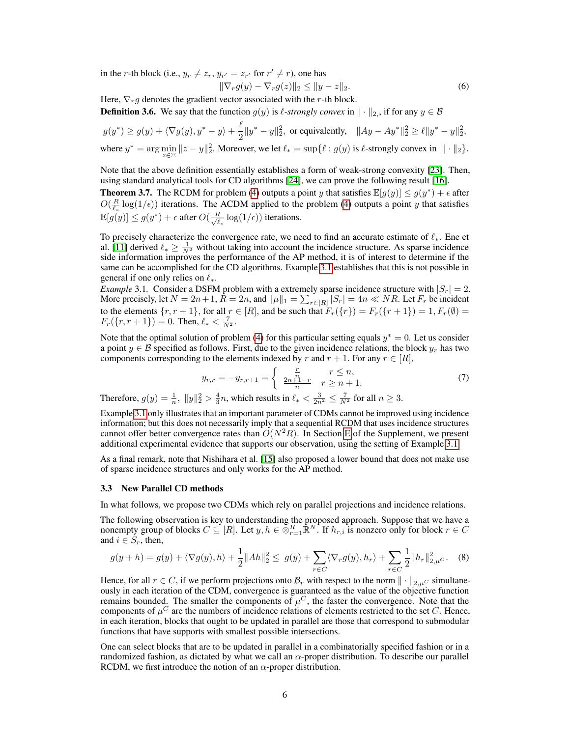in the *r*-th block (i.e.,  $y_r \neq z_r$ ,  $y_{r'} = z_{r'}$  for  $r' \neq r$ ), one has

$$
\|\nabla_r g(y) - \nabla_r g(z)\|_2 \le \|y - z\|_2. \tag{6}
$$

Here,  $\nabla_r g$  denotes the gradient vector associated with the r-th block.

**Definition 3.6.** We say that the function  $g(y)$  is  $\ell$ -strongly convex in  $\|\cdot\|_2$ , if for any  $y \in \mathcal{B}$ 

$$
g(y^*) \ge g(y) + \langle \nabla g(y), y^* - y \rangle + \frac{\ell}{2} \|y^* - y\|_2^2, \text{ or equivalently, } \|Ay - Ay^*\|_2^2 \ge \ell \|y^* - y\|_2^2,
$$
  
where  $y^* = \arg \min_{z \in \Xi} \|z - y\|_2^2$ . Moreover, we let  $\ell_* = \sup \{ \ell : g(y) \text{ is } \ell\text{-strongly convex in } \| \cdot \|_2 \}.$ 

Note that the above definition essentially establishes a form of weak-strong convexity [23]. Then, using standard analytical tools for CD algorithms [24], we can prove the following result [16].

**Theorem 3.7.** The RCDM for problem (4) outputs a point y that satisfies  $\mathbb{E}[g(y)] \leq g(y^*) + \epsilon$  after  $O(\frac{R}{\ell_*} \log(1/\epsilon))$  iterations. The ACDM applied to the problem (4) outputs a point y that satisfies  $\mathbb{E}[g(y)] \leq g(y^*) + \epsilon$  after  $O(\frac{R}{\sqrt{\ell}})$  $\frac{R}{\ell_*} \log(1/\epsilon)$  iterations.

To precisely characterize the convergence rate, we need to find an accurate estimate of  $\ell_*$ . Ene et al. [11] derived  $\ell_* \ge \frac{1}{N^2}$  without taking into account the incidence structure. As sparse incidence side information improves the performance of the AP method, it is of interest to determine if the same can be accomplished for the CD algorithms. Example 3.1 establishes that this is not possible in general if one only relies on  $\ell_*$ .

*Example* 3.1. Consider a DSFM problem with a extremely sparse incidence structure with  $|S_r| = 2$ . More precisely, let  $N = 2n + 1$ ,  $R = 2n$ , and  $||\mu||_1 = \sum_{r \in [R]} |S_r| = 4n \ll NR$ . Let  $F_r$  be incident to the elements  $\{r, r+1\}$ , for all  $r \in [R]$ , and be such that  $F_r(\{r\}) = F_r(\{r+1\}) = 1, F_r(\emptyset) = 1$  $F_r({r, r + 1}) = 0$ . Then,  $\ell_* < \frac{7}{N^2}$ .

Note that the optimal solution of problem (4) for this particular setting equals  $y^* = 0$ . Let us consider a point  $y \in \mathcal{B}$  specified as follows. First, due to the given incidence relations, the block  $y_r$  has two components corresponding to the elements indexed by r and  $r + 1$ . For any  $r \in [R]$ ,

$$
y_{r,r} = -y_{r,r+1} = \begin{cases} \frac{r}{n} & r \le n, \\ \frac{2n+1-r}{n} & r \ge n+1. \end{cases}
$$
 (7)

Therefore,  $g(y) = \frac{1}{n}$ ,  $||y||_2^2 > \frac{4}{3}n$ , which results in  $\ell_* < \frac{3}{2n^2} \leq \frac{7}{N^2}$  for all  $n \geq 3$ .

Example 3.1 only illustrates that an important parameter of CDMs cannot be improved using incidence information; but this does not necessarily imply that a sequential RCDM that uses incidence structures cannot offer better convergence rates than  $O(N^2R)$ . In Section E of the Supplement, we present additional experimental evidence that supports our observation, using the setting of Example 3.1.

As a final remark, note that Nishihara et al. [15] also proposed a lower bound that does not make use of sparse incidence structures and only works for the AP method.

#### 3.3 New Parallel CD methods

In what follows, we propose two CDMs which rely on parallel projections and incidence relations.

The following observation is key to understanding the proposed approach. Suppose that we have a nonempty group of blocks  $C \subseteq [R]$ . Let  $y, h \in \mathbb{R}^R_{r=1} \mathbb{R}^N$ . If  $h_{r,i}$  is nonzero only for block  $r \in C$ and  $i \in S_r$ , then,

$$
g(y+h) = g(y) + \langle \nabla g(y), h \rangle + \frac{1}{2} ||Ah||_2^2 \le g(y) + \sum_{r \in C} \langle \nabla_r g(y), h_r \rangle + \sum_{r \in C} \frac{1}{2} ||h_r||_{2,\mu}^2.
$$
 (8)

Hence, for all  $r \in C$ , if we perform projections onto  $\mathcal{B}_r$  with respect to the norm  $\|\cdot\|_{2,\mu^C}$  simultaneously in each iteration of the CDM, convergence is guaranteed as the value of the objective function remains bounded. The smaller the components of  $\mu^C$ , the faster the convergence. Note that the components of  $\mu^C$  are the numbers of incidence relations of elements restricted to the set C. Hence, in each iteration, blocks that ought to be updated in parallel are those that correspond to submodular functions that have supports with smallest possible intersections.

One can select blocks that are to be updated in parallel in a combinatorially specified fashion or in a randomized fashion, as dictated by what we call an  $\alpha$ -proper distribution. To describe our parallel RCDM, we first introduce the notion of an  $\alpha$ -proper distribution.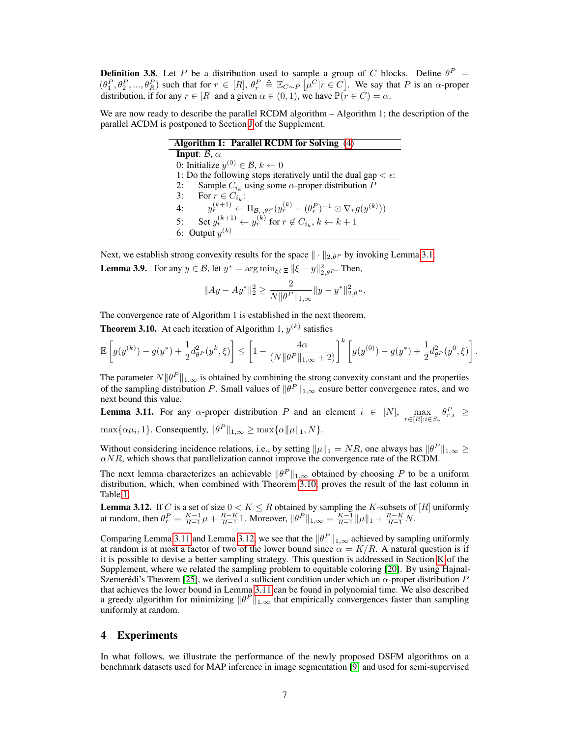**Definition 3.8.** Let P be a distribution used to sample a group of C blocks. Define  $\theta^P$  =  $(\theta_1^P, \theta_2^P, ..., \theta_R^P)$  such that for  $r \in [R], \theta_r^P \triangleq \mathbb{E}_{C \sim P} [\mu^C | r \in C]$ . We say that P is an  $\alpha$ -proper distribution, if for any  $r \in [R]$  and a given  $\alpha \in (0, 1)$ , we have  $\mathbb{P}(\dot{r} \in C) = \alpha$ .

We are now ready to describe the parallel RCDM algorithm – Algorithm 1; the description of the parallel ACDM is postponed to Section J of the Supplement.

| Algorithm 1: Parallel RCDM for Solving (4)                                                                              |  |  |  |  |
|-------------------------------------------------------------------------------------------------------------------------|--|--|--|--|
| Input: $\beta$ , $\alpha$                                                                                               |  |  |  |  |
| 0: Initialize $y^{(0)} \in \mathcal{B}$ , $k \leftarrow 0$                                                              |  |  |  |  |
| 1: Do the following steps iteratively until the dual gap $\lt \epsilon$ :                                               |  |  |  |  |
| Sample $C_{i_k}$ using some $\alpha$ -proper distribution P<br>2:                                                       |  |  |  |  |
| 3: For $r \in C_{i_k}$ :                                                                                                |  |  |  |  |
| $y_r^{(k+1)} \leftarrow \Pi_{\mathcal{B}_r, \theta_r^P}(y_r^{(k)} - (\theta_r^P)^{-1} \odot \nabla_r g(y^{(k)}))$<br>4: |  |  |  |  |
| Set $y_r^{(k+1)} \leftarrow y_r^{(k)}$ for $r \notin C_{i_k}$ , $k \leftarrow k+1$<br>5:                                |  |  |  |  |
| 6: Output $y^{(k)}$                                                                                                     |  |  |  |  |

Next, we establish strong convexity results for the space  $\|\cdot\|_{2,\theta^P}$  by invoking Lemma 3.1. **Lemma 3.9.** For any  $y \in \mathcal{B}$ , let  $y^* = \arg \min_{\xi \in \Xi} ||\xi - y||_{2, \theta^P}^2$ . Then,

$$
||Ay - Ay^*||_2^2 \ge \frac{2}{N||\theta^P||_{1,\infty}}||y - y^*||_{2,\theta^P}^2.
$$

The convergence rate of Algorithm 1 is established in the next theorem.

**Theorem 3.10.** At each iteration of Algorithm 1,  $y^{(k)}$  satisfies

$$
\mathbb{E}\left[g(y^{(k)})-g(y^*)+\frac{1}{2}d^2_{\theta^P}(y^k,\xi)\right] \leq \left[1-\frac{4\alpha}{(N\|\theta^P\|_{1,\infty}+2)}\right]^k\left[g(y^{(0)})-g(y^*)+\frac{1}{2}d^2_{\theta^P}(y^0,\xi)\right].
$$

The parameter  $N||\theta^P||_{1,\infty}$  is obtained by combining the strong convexity constant and the properties of the sampling distribution P. Small values of  $\|\theta^P\|_{1,\infty}$  ensure better convergence rates, and we next bound this value.

**Lemma 3.11.** For any  $\alpha$ -proper distribution P and an element  $i \in [N]$ ,  $\max_{r \in [R]: i \in S_r} \theta_{r,i}^P \geq$  $\max{\{\alpha \mu_i, 1\}}$ . Consequently,  $\|\theta^P\|_{1,\infty} \ge \max{\{\alpha \|\mu\|_1, N\}}$ .

Without considering incidence relations, i.e., by setting  $\|\mu\|_1 = NR$ , one always has  $\|\theta^P\|_{1,\infty} \ge$  $\alpha NR$ , which shows that parallelization cannot improve the convergence rate of the RCDM.

The next lemma characterizes an achievable  $\|\theta^P\|_{1,\infty}$  obtained by choosing P to be a uniform distribution, which, when combined with Theorem 3.10, proves the result of the last column in Table 1.

**Lemma 3.12.** If C is a set of size  $0 < K \leq R$  obtained by sampling the K-subsets of [R] uniformly at random, then  $\theta_r^P = \frac{K-1}{R-1}\mu + \frac{R-K}{R-1}1$ . Moreover,  $\|\theta^P\|_{1,\infty} = \frac{K-1}{R-1}\|\mu\|_1 + \frac{R-K}{R-1}N$ .

Comparing Lemma 3.11 and Lemma 3.12, we see that the  $\|\theta^P\|_{1,\infty}$  achieved by sampling uniformly at random is at most a factor of two of the lower bound since  $\alpha = K/R$ . A natural question is if it is possible to devise a better sampling strategy. This question is addressed in Section K of the Supplement, where we related the sampling problem to equitable coloring [20]. By using Hajnal-Szemerédi's Theorem [25], we derived a sufficient condition under which an  $\alpha$ -proper distribution P that achieves the lower bound in Lemma 3.11 can be found in polynomial time. We also described a greedy algorithm for minimizing  $\|\theta^P\|_{1,\infty}$  that empirically convergences faster than sampling uniformly at random.

# 4 Experiments

In what follows, we illustrate the performance of the newly proposed DSFM algorithms on a benchmark datasets used for MAP inference in image segmentation [9] and used for semi-supervised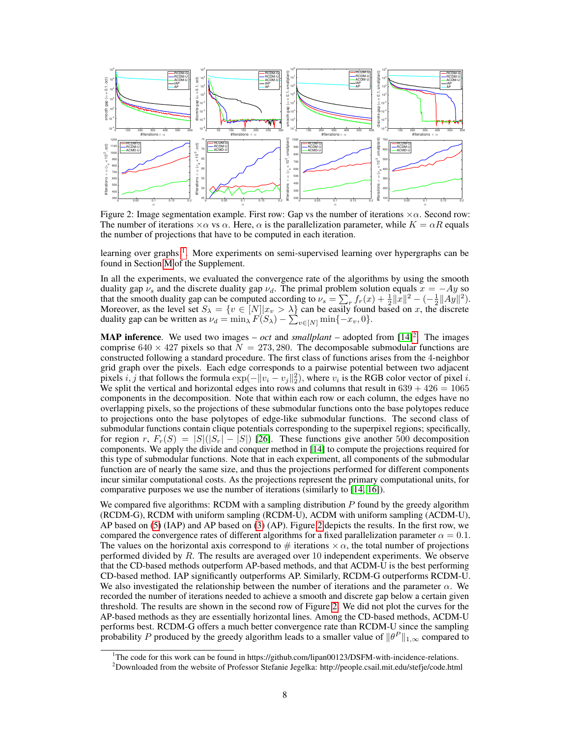

Figure 2: Image segmentation example. First row: Gap vs the number of iterations  $\times \alpha$ . Second row: The number of iterations  $\times \alpha$  vs  $\alpha$ . Here,  $\alpha$  is the parallelization parameter, while  $K = \alpha R$  equals the number of projections that have to be computed in each iteration.

learning over graphs<sup>1</sup>. More experiments on semi-supervised learning over hypergraphs can be found in Section M of the Supplement.

In all the experiments, we evaluated the convergence rate of the algorithms by using the smooth duality gap  $\nu_s$  and the discrete duality gap  $\nu_d$ . The primal problem solution equals  $x = -Ay$  so that the smooth duality gap can be computed according to  $\nu_s = \sum_r f_r(x) + \frac{1}{2} ||x||^2 - \left(-\frac{1}{2}||Ay||^2\right)$ . Moreover, as the level set  $S_\lambda = \{v \in [N] | x_v > \lambda\}$  can be easily found based on x, the discrete duality gap can be written as  $\nu_d = \min_{\lambda} F(S_{\lambda}) - \sum_{v \in [N]} \min\{-x_v, 0\}.$ 

**MAP inference**. We used two images  $- oct$  and *smallplant*  $-$  adopted from  $[14]<sup>2</sup>$ . The images comprise  $640 \times 427$  pixels so that  $\overline{N} = 273,280$ . The decomposable submodular functions are constructed following a standard procedure. The first class of functions arises from the 4-neighbor grid graph over the pixels. Each edge corresponds to a pairwise potential between two adjacent pixels  $i, j$  that follows the formula  $\exp(-\|v_i - v_j\|_2^2)$ , where  $v_i$  is the RGB color vector of pixel i. We split the vertical and horizontal edges into rows and columns that result in  $639 + 426 = 1065$ components in the decomposition. Note that within each row or each column, the edges have no overlapping pixels, so the projections of these submodular functions onto the base polytopes reduce to projections onto the base polytopes of edge-like submodular functions. The second class of submodular functions contain clique potentials corresponding to the superpixel regions; specifically, for region r,  $F_r(S) = |S|(|S_r| - |S|)$  [26]. These functions give another 500 decomposition components. We apply the divide and conquer method in [14] to compute the projections required for this type of submodular functions. Note that in each experiment, all components of the submodular function are of nearly the same size, and thus the projections performed for different components incur similar computational costs. As the projections represent the primary computational units, for comparative purposes we use the number of iterations (similarly to [14, 16]).

We compared five algorithms: RCDM with a sampling distribution  $P$  found by the greedy algorithm (RCDM-G), RCDM with uniform sampling (RCDM-U), ACDM with uniform sampling (ACDM-U), AP based on (5) (IAP) and AP based on (3) (AP). Figure 2 depicts the results. In the first row, we compared the convergence rates of different algorithms for a fixed parallelization parameter  $\alpha = 0.1$ . The values on the horizontal axis correspond to  $\#$  iterations  $\times \alpha$ , the total number of projections performed divided by  $R$ . The results are averaged over 10 independent experiments. We observe that the CD-based methods outperform AP-based methods, and that ACDM-U is the best performing CD-based method. IAP significantly outperforms AP. Similarly, RCDM-G outperforms RCDM-U. We also investigated the relationship between the number of iterations and the parameter  $\alpha$ . We recorded the number of iterations needed to achieve a smooth and discrete gap below a certain given threshold. The results are shown in the second row of Figure 2. We did not plot the curves for the AP-based methods as they are essentially horizontal lines. Among the CD-based methods, ACDM-U performs best. RCDM-G offers a much better convergence rate than RCDM-U since the sampling probability P produced by the greedy algorithm leads to a smaller value of  $\|\theta^P\|_{1,\infty}$  compared to

<sup>1</sup>The code for this work can be found in https://github.com/lipan00123/DSFM-with-incidence-relations.

<sup>2</sup>Downloaded from the website of Professor Stefanie Jegelka: http://people.csail.mit.edu/stefje/code.html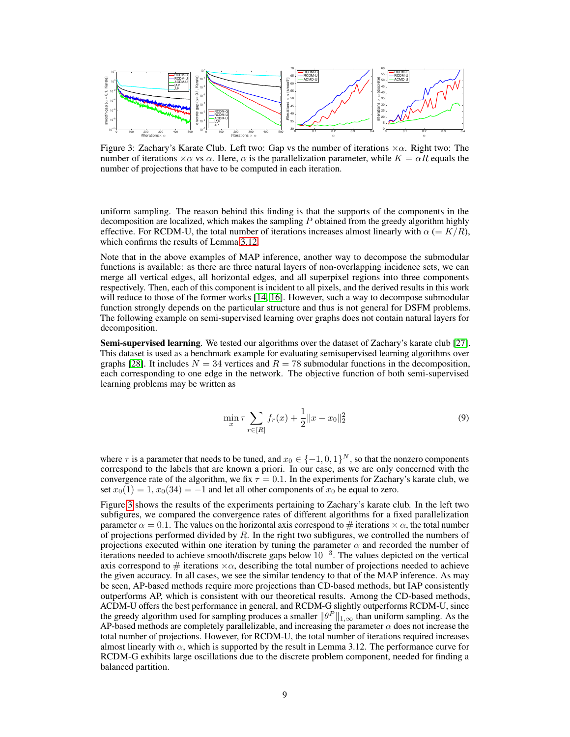

Figure 3: Zachary's Karate Club. Left two: Gap vs the number of iterations  $\times \alpha$ . Right two: The number of iterations  $\times \alpha$  vs  $\alpha$ . Here,  $\alpha$  is the parallelization parameter, while  $K = \alpha R$  equals the number of projections that have to be computed in each iteration.

uniform sampling. The reason behind this finding is that the supports of the components in the decomposition are localized, which makes the sampling  $P$  obtained from the greedy algorithm highly effective. For RCDM-U, the total number of iterations increases almost linearly with  $\alpha$  (=  $K/R$ ), which confirms the results of Lemma 3.12.

Note that in the above examples of MAP inference, another way to decompose the submodular functions is available: as there are three natural layers of non-overlapping incidence sets, we can merge all vertical edges, all horizontal edges, and all superpixel regions into three components respectively. Then, each of this component is incident to all pixels, and the derived results in this work will reduce to those of the former works [14, 16]. However, such a way to decompose submodular function strongly depends on the particular structure and thus is not general for DSFM problems. The following example on semi-supervised learning over graphs does not contain natural layers for decomposition.

Semi-supervised learning. We tested our algorithms over the dataset of Zachary's karate club [27]. This dataset is used as a benchmark example for evaluating semisupervised learning algorithms over graphs [28]. It includes  $N = 34$  vertices and  $R = 78$  submodular functions in the decomposition, each corresponding to one edge in the network. The objective function of both semi-supervised learning problems may be written as

$$
\min_{x} \tau \sum_{r \in [R]} f_r(x) + \frac{1}{2} ||x - x_0||_2^2 \tag{9}
$$

where  $\tau$  is a parameter that needs to be tuned, and  $x_0 \in \{-1,0,1\}^N$ , so that the nonzero components correspond to the labels that are known a priori. In our case, as we are only concerned with the convergence rate of the algorithm, we fix  $\tau = 0.1$ . In the experiments for Zachary's karate club, we set  $x_0(1) = 1$ ,  $x_0(34) = -1$  and let all other components of  $x_0$  be equal to zero.

Figure 3 shows the results of the experiments pertaining to Zachary's karate club. In the left two subfigures, we compared the convergence rates of different algorithms for a fixed parallelization parameter  $\alpha = 0.1$ . The values on the horizontal axis correspond to # iterations  $\times \alpha$ , the total number of projections performed divided by  $R$ . In the right two subfigures, we controlled the numbers of projections executed within one iteration by tuning the parameter  $\alpha$  and recorded the number of  $\frac{1}{10}$  iterations needed to achieve smooth/discrete gaps below  $10^{-3}$ . The values depicted on the vertical axis correspond to  $\#$  iterations  $\times \alpha$ , describing the total number of projections needed to achieve the given accuracy. In all cases, we see the similar tendency to that of the MAP inference. As may be seen, AP-based methods require more projections than CD-based methods, but IAP consistently outperforms AP, which is consistent with our theoretical results. Among the CD-based methods, ACDM-U offers the best performance in general, and RCDM-G slightly outperforms RCDM-U, since the greedy algorithm used for sampling produces a smaller  $\|\theta^P\|_{1,\infty}$  than uniform sampling. As the AP-based methods are completely parallelizable, and increasing the parameter  $\alpha$  does not increase the total number of projections. However, for RCDM-U, the total number of iterations required increases almost linearly with  $\alpha$ , which is supported by the result in Lemma 3.12. The performance curve for RCDM-G exhibits large oscillations due to the discrete problem component, needed for finding a balanced partition.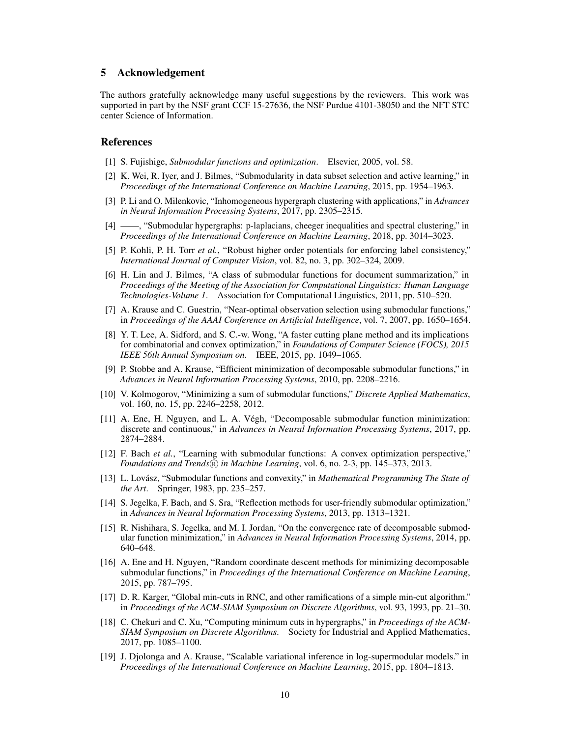# 5 Acknowledgement

The authors gratefully acknowledge many useful suggestions by the reviewers. This work was supported in part by the NSF grant CCF 15-27636, the NSF Purdue 4101-38050 and the NFT STC center Science of Information.

## References

- [1] S. Fujishige, *Submodular functions and optimization*. Elsevier, 2005, vol. 58.
- [2] K. Wei, R. Iyer, and J. Bilmes, "Submodularity in data subset selection and active learning," in *Proceedings of the International Conference on Machine Learning*, 2015, pp. 1954–1963.
- [3] P. Li and O. Milenkovic, "Inhomogeneous hypergraph clustering with applications," in *Advances in Neural Information Processing Systems*, 2017, pp. 2305–2315.
- [4] ——, "Submodular hypergraphs: p-laplacians, cheeger inequalities and spectral clustering," in *Proceedings of the International Conference on Machine Learning*, 2018, pp. 3014–3023.
- [5] P. Kohli, P. H. Torr *et al.*, "Robust higher order potentials for enforcing label consistency," *International Journal of Computer Vision*, vol. 82, no. 3, pp. 302–324, 2009.
- [6] H. Lin and J. Bilmes, "A class of submodular functions for document summarization," in *Proceedings of the Meeting of the Association for Computational Linguistics: Human Language Technologies-Volume 1*. Association for Computational Linguistics, 2011, pp. 510–520.
- [7] A. Krause and C. Guestrin, "Near-optimal observation selection using submodular functions," in *Proceedings of the AAAI Conference on Artificial Intelligence*, vol. 7, 2007, pp. 1650–1654.
- [8] Y. T. Lee, A. Sidford, and S. C.-w. Wong, "A faster cutting plane method and its implications for combinatorial and convex optimization," in *Foundations of Computer Science (FOCS), 2015 IEEE 56th Annual Symposium on*. IEEE, 2015, pp. 1049–1065.
- [9] P. Stobbe and A. Krause, "Efficient minimization of decomposable submodular functions," in *Advances in Neural Information Processing Systems*, 2010, pp. 2208–2216.
- [10] V. Kolmogorov, "Minimizing a sum of submodular functions," *Discrete Applied Mathematics*, vol. 160, no. 15, pp. 2246–2258, 2012.
- [11] A. Ene, H. Nguyen, and L. A. Végh, "Decomposable submodular function minimization: discrete and continuous," in *Advances in Neural Information Processing Systems*, 2017, pp. 2874–2884.
- [12] F. Bach *et al.*, "Learning with submodular functions: A convex optimization perspective," *Foundations and Trends* $(\mathbb{R})$  *in Machine Learning*, vol. 6, no. 2-3, pp. 145–373, 2013.
- [13] L. Lovász, "Submodular functions and convexity," in *Mathematical Programming The State of the Art*. Springer, 1983, pp. 235–257.
- [14] S. Jegelka, F. Bach, and S. Sra, "Reflection methods for user-friendly submodular optimization," in *Advances in Neural Information Processing Systems*, 2013, pp. 1313–1321.
- [15] R. Nishihara, S. Jegelka, and M. I. Jordan, "On the convergence rate of decomposable submodular function minimization," in *Advances in Neural Information Processing Systems*, 2014, pp. 640–648.
- [16] A. Ene and H. Nguyen, "Random coordinate descent methods for minimizing decomposable submodular functions," in *Proceedings of the International Conference on Machine Learning*, 2015, pp. 787–795.
- [17] D. R. Karger, "Global min-cuts in RNC, and other ramifications of a simple min-cut algorithm." in *Proceedings of the ACM-SIAM Symposium on Discrete Algorithms*, vol. 93, 1993, pp. 21–30.
- [18] C. Chekuri and C. Xu, "Computing minimum cuts in hypergraphs," in *Proceedings of the ACM-SIAM Symposium on Discrete Algorithms*. Society for Industrial and Applied Mathematics, 2017, pp. 1085–1100.
- [19] J. Djolonga and A. Krause, "Scalable variational inference in log-supermodular models." in *Proceedings of the International Conference on Machine Learning*, 2015, pp. 1804–1813.